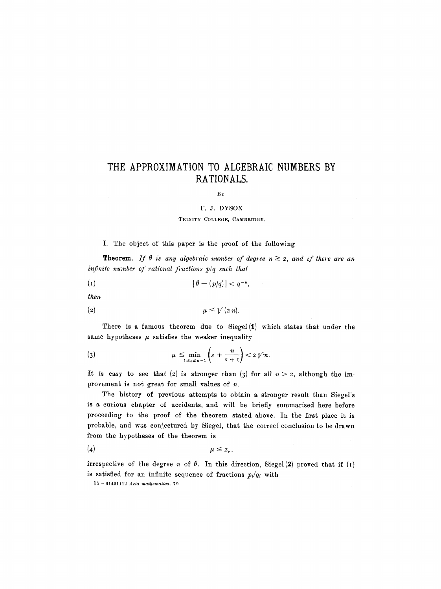# **THE APPROXIMATION TO ALGEBRAIC NUMBERS BY RATIONALS.**

#### BY

### F. J. DYSON

#### TRINITY COLLEGE, CAMBRIDGE.

#### I. The object of this paper is the proof of the following

**Theorem.** If  $\theta$  is any algebraic number of degree  $n \geq 2$ , and if there are an *infinite number of rational fractions p/q such that* 

$$
|\theta - (p/q)| < q^{-\mu},
$$

*then* 

$$
\mu \leq \mathcal{V}(2 n).
$$

There is a famous theorem due to Siegel $(1)$  which states that under the same hypotheses  $\mu$  satisfies the weaker inequality

$$
\mu \leq \min_{1 \leq s \leq n-1} \left( s + \frac{n}{s+1} \right) < 2 \, \mathcal{V} \, n.
$$

It is easy to see that (2) is stronger than (3) for all  $n > 2$ , although the improvement is not great for small values of n.

The history of previous attempts to obtain a stronger result than Siegel's is a curious chapter of accidents, and will be briefly summarised here before proceeding to the proof of the theorem stated above. In the first place it is probable, and was conjectured by Siegel, that the correct conclusion to be drawn from the hypotheses of the theorem is

$$
\mu \leq 2, .
$$

irrespective of the degree n of  $\theta$ . In this direction, Siegel(2) proved that if (I) is satisfied for an infinite sequence of fractions  $p_i/q_i$  with

15- 61491112 *Acta mathematica. 79*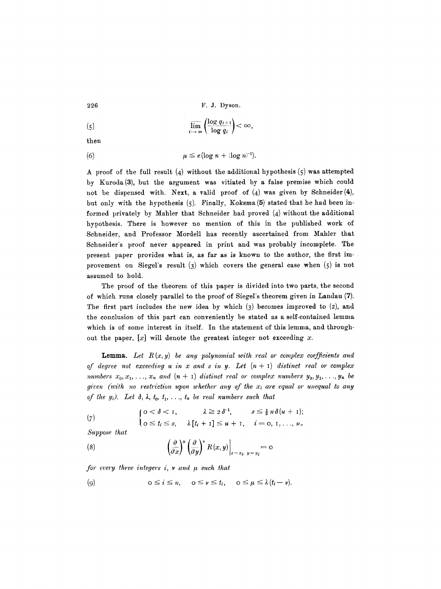226 F.J. Dyson.

$$
\lim_{i \to \infty} \left( \frac{\log q_{i+1}}{\log q_i} \right) < \infty
$$

then

(6) 
$$
\mu \leq e(\log n + (\log n)^{-1}).
$$

A proof of the full result  $(4)$  without the additional hypothesis  $(5)$  was attempted by Kuroda(3), but the argument was vitiated by a false premise which could not be dispensed with. Next, a valid proof of  $(4)$  was given by Schneider $(4)$ , but only with the hypothesis (5). Finally, Koksma (5) stated that he had been informed privately by Mahler that Schneider had proved  $(4)$  without the additional hypothesis. There is however no mention of this in the published work of Schneider, and Professor Mordell has recently ascertained from Mahler that Schueider's proof never appeared in print and was probably incomplete. The present paper provides what is, as far as is known to the author, the first improvement on Siegel's result  $(3)$  which covers the general case when  $(5)$  is not assumed to hold.

The proof of the theorem of this paper is divided into two parts, the second of which runs closely parallel to the proof of Siegel's theorem given in Landau (7). The first part includes the new idea by which  $(3)$  becomes improved to  $(2)$ , and the conclusion of this part can conveniently be stated as a self-contained lemma which is of some interest in itself. In the statement of this lemma, and throughout the paper,  $[x]$  will denote the greatest integer not exceeding x.

**Lemma.** Let  $R(x, y)$  be any polynomial with real or complex coefficients and *of degree not exceeding u in x and s in y. Let*  $(n + 1)$  *distinct real or complex* numbers  $x_0, x_1, \ldots, x_n$  and  $(n + 1)$  distinct real or complex numbers  $y_0, y_1, \ldots, y_n$  be *given (with no restriction upon whether any of the xi are equal or unequal to any of the y<sub>i</sub>). Let*  $\delta$ *,*  $\lambda$ *,*  $t_0$ *,*  $t_1$ *, ...,*  $t_n$  *be real numbers such that* 

(7) 
$$
\begin{cases} 0 < \delta < 1, & \lambda \geq 2\delta^{-1}, & s \leq \frac{1}{2}n\delta(u+1); \\ 0 \leq t_i \leq s, & \lambda[t_i+1] \leq u+1, & i = 0, 1, ..., n. \end{cases}
$$

*Suppose that* 

(8) 
$$
\left(\frac{\partial}{\partial x}\right)^{\mu} \left(\frac{\partial}{\partial y}\right)^{\nu} R(x, y)\Big|_{x=x_i, y=y_i} = 0
$$

*for every three integers i,*  $\nu$  *and*  $\mu$  *such that* 

$$
(9) \qquad \qquad \text{if } \leq n, \quad 0 \leq \nu \leq t_i, \quad 0 \leq \mu \leq \lambda (t_i - \nu).
$$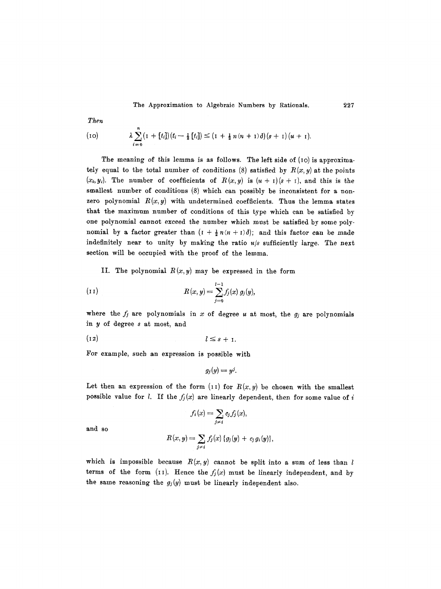The Approximation to Algebraic Numbers by Rationals. 227

*Then* 

(10) 
$$
\lambda \sum_{i=0}^{n} (1 + [t_i])(t_i - \frac{1}{2} [t_i]) \leq (1 + \frac{1}{2} n(n+1) \delta)(s+1) (u+1).
$$

The meaning of this lemma is as follows. The left side of  $(10)$  is approximately equal to the total number of conditions (8) satisfied by  $R(x,y)$  at the points  $(x_i, y_i)$ . The number of coefficients of  $R(x, y)$  is  $(u + 1)(s + 1)$ , and this is the smallest number of conditions (8) which can possibly be inconsistent for a nonzero polynomial  $R(x, y)$  with undetermined coefficients. Thus the lemma states that the maximum number of conditions of this type which can be satisfied by one polynomial cannot exceed the number which must be satisfied by some polynomial by a factor greater than  $(I + \frac{1}{2}n(n+1)\delta)$ ; and this factor can be made indefinitely near to unity by making the ratio *u/s* sufficiently large. The next section will be occupied with the proof of the lemma.

II. The polynomial  $R(x,y)$  may be expressed in the form

(11) 
$$
R(x, y) = \sum_{j=0}^{l-1} f_j(x) g_j(y),
$$

where the  $f_j$  are polynomials in x of degree u at most, the  $g_j$  are polynomials in y of degree s at most, and

$$
(12) \t\t\t l \leq s+1.
$$

For example, such an expression is possible with

$$
g_j(y)=y^j.
$$

Let then an expression of the form  $(11)$  for  $R(x, y)$  be chosen with the smallest possible value for *l*. If the  $f_j(x)$  are linearly dependent, then for some value of i

$$
f_i(x) = \sum_{j \neq i} c_j f_j(x),
$$

and so

$$
R(x,y)=\sum_{j\neq i}f_j(x)\{g_j(y)+c_jg_i(y)\},\,
$$

which is impossible because  $R(x, y)$  cannot be split into a sum of less than l terms of the form (II). Hence the  $f_j(x)$  must be linearly independent, and by the same reasoning the  $g_j(y)$  must be linearly independent also.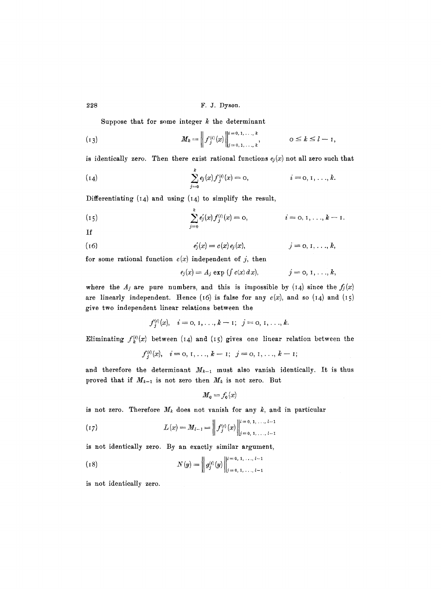Suppose that for some integer  $k$  the determinant

$$
(13) \t M_k = \left\| f_j^{(i)}(x) \right\|_{j=0,1,\ldots,k}^{i=0,1,\ldots,k}, \t 0 \leq k \leq l-1
$$

is identically zero. Then there exist rational functions  $e_j(x)$  not all zero such that

(14) 
$$
\sum_{j=0}^{k} e_j(x) f_j^{(i)}(x) = 0, \qquad i = 0, 1, ..., k.
$$

Differentiating  $(14)$  and using  $(14)$  to simplify the result,

(15) 
$$
\sum_{j=0}^{k} e'_j(x) f_j^{(i)}(x) = 0, \qquad i = 0, 1, ..., k-1.
$$

If

(16) 
$$
e'_{j}(x) = c(x) e_{j}(x), \qquad j = 0, 1, ..., k,
$$

for some rational function  $c(x)$  independent of j, then

$$
e_j(x) = A_j \exp \left( \int c(x) dx \right), \qquad j = 0, 1, \ldots, k,
$$

where the  $A_j$  are pure numbers, and this is impossible by (14) since the  $f_j(x)$ are linearly independent. Hence (16) is false for any  $c(x)$ , and so (14) and (15) give two independent linear relations between the

$$
f_j^{(i)}(x), \quad i = 0, 1, \ldots, k-1; \quad j = 0, 1, \ldots, k.
$$

Eliminating  $f_k^{(i)}(x)$  between (14) and (15) gives one linear relation between the

$$
f_j^{(i)}(x), \quad i=0, 1, \ldots, k-1; \ \ j=0, 1, \ldots, k-1;
$$

and therefore the determinant  $M_{k-1}$  must also vanish identically. It is thus proved that if  $M_{k-1}$  is not zero then  $M_k$  is not zero. But

$$
M_0 = f_0(x)
$$

is not zero. Therefore  $M_k$  does not vanish for any  $k$ , and in particular

(17) 
$$
L(x) = M_{l-1} = \left\| f_j^{(i)}(x) \right\|_{j=0, 1, ..., l-1}^{l=0, 1, ..., l-1}
$$

is not identically zero. By an exactly similar argument,

(18) 
$$
N(y) = \left\| g_j^{(i)}(y) \right\|_{j=0, 1, \ldots, l-1}^{i=0, 1, \ldots, l-1}
$$

is not identically zero.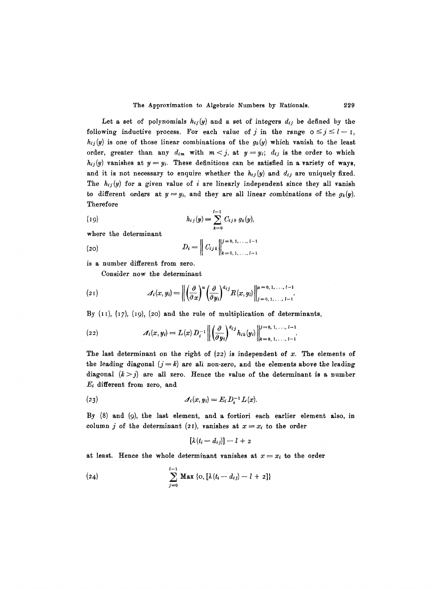Let a set of polynomials  $h_{ij}(y)$  and a set of integers  $d_{ij}$  be defined by the following inductive process. For each value of j in the range  $0 \le j \le l-1$ ,  $h_{ij}(y)$  is one of those linear combinations of the  $g_k(y)$  which vanish to the least order, greater than any  $d_{im}$  with  $m < j$ , at  $y = y_i$ ;  $d_{ij}$  is the order to which  $h_{ij}(y)$  vanishes at  $y = y_i$ . These definitions can be satisfied in a variety of ways, and it is not necessary to enquire whether the  $h_{ij}(y)$  and  $d_{ij}$  are uniquely fixed. The  $h_{ij}(y)$  for a given value of i are linearly independent since they all vanish to different orders at  $y=y_i$ , and they are all linear combinations of the  $g_k(y)$ . Therefore

(19) 
$$
h_{ij}(y) = \sum_{k=0}^{l-1} C_{ijk} g_k(y),
$$

where the determinant

(20) 
$$
D_i = \left\| C_{i j k} \right\|_{k=0,1,\ldots,l-1}^{j=0,1,\ldots,l-1}
$$

is a number different from zero.

Consider now the determinant

$$
(21) \qquad \qquad \mathcal{A}_i(x,y_i) = \left\| \left( \frac{\partial}{\partial x} \right)^u \left( \frac{\partial}{\partial y_i} \right)^{d_{ij}} R(x,y_i) \right\|_{j=0,1,\ldots,l-1}^{u=0,1,\ldots,l-1}.
$$

By  $(11)$ ,  $(17)$ ,  $(19)$ ,  $(20)$  and the rule of multiplication of determinants,

(22) 
$$
\mathcal{A}_i(x,y_i) = L(x) D_i^{-1} \left\| \left( \frac{\partial}{\partial y_i} \right)^{d_{ij}} h_{ik}(y_i) \right\|_{k=0, 1, \ldots, l-1}^{j=0, 1, \ldots, l-1}.
$$

The last determinant on the right of  $(z_2)$  is independent of x. The elements of the leading diagonal  $(j = k)$  are all non-zero, and the elements above the leading diagonal  $(k > j)$  are all zero. Hence the value of the determinant is a number  $E_i$  different from zero, and

$$
(23) \qquad \qquad \mathcal{A}_i(x,y_i) = E_i D_i^{-1} L(x).
$$

By (8) and (9), the last element, and a fortiori each earlier element also, in column j of the determinant (21), vanishes at  $x=x_i$  to the order

$$
[\lambda(t_i-d_{ij})]-l+2
$$

at least. Hence the whole determinant vanishes at  $x = x_i$  to the order

(24) 
$$
\sum_{j=0}^{l-1} \mathbf{Max} \{O, [\lambda(t_i - d_{ij}) - l + 2]\}
$$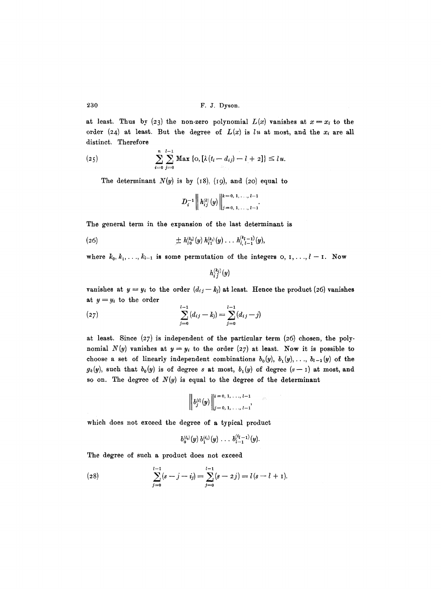at least. Thus by (23) the non-zero polynomial  $L(x)$  vanishes at  $x = x_i$  to the order (24) at least. But the degree of  $L(x)$  is  $lu$  at most, and the  $x_i$  are all distinct. Therefore

(25) 
$$
\sum_{i=0}^{n} \sum_{j=0}^{l-1} \text{Max} \{O, [\lambda(t_i - d_{ij}) - l + 2] \} \leq l u.
$$

The determinant  $N(y)$  is by (18), (19), and (20) equal to

$$
D_i^{-1}\left\| h_{ij}^{(k)}(y) \right\|_{j=0, 1, \ldots, l-1}^{k=0, 1, \ldots, l-1}.
$$

The general term in the expansion of the last determinant is

(26) 
$$
\pm h_{i0}^{(k_0)}(y) h_{i1}^{(k_1)}(y) \ldots h_{i, l-1}^{(k_{l-1})}(y),
$$

where  $k_0, k_1, \ldots, k_{l-1}$  is some permutation of the integers o,  $1, \ldots, l-1$ . Now

$$
h_{i\,j}^{(k_j)}(y)
$$

vanishes at  $y = y_i$  to the order  $(d_{ij} - k_j)$  at least. Hence the product (26) vanishes at  $y=y_i$  to the order

(27) 
$$
\sum_{j=0}^{l-1} (d_{ij} - k_j) = \sum_{j=0}^{l-1} (d_{ij} - j)
$$

at least. Since (27) is independent of the particular term (26) chosen, the polynomial  $N(y)$  vanishes at  $y = y_i$  to the order (27) at least. Now it is possible to choose a set of linearly independent combinations  $b_0(y)$ ,  $b_1(y)$ ,...,  $b_{l-1}(y)$  of the  $g_k(y)$ , such that  $b_0(y)$  is of degree s at most,  $b_1(y)$  of degree  $(s-1)$  at most, and so on. The degree of  $N(y)$  is equal to the degree of the determinant

$$
\left\| b_j^{(i)}(y) \right\|_{j=0, 1, \ldots, l-1}^{i=0, 1, \ldots, l-1}
$$

which does not exceed the degree of a typical product

$$
b_0^{(i_0)}(y) b_1^{(i_1)}(y) \ldots b_{i-1}^{(i_{l-1})}(y).
$$

The degree of such a product does not exceed

(28) 
$$
\sum_{j=0}^{l-1} (s-j-i_j) = \sum_{j=0}^{l-1} (s-2j) = l(s-l+1).
$$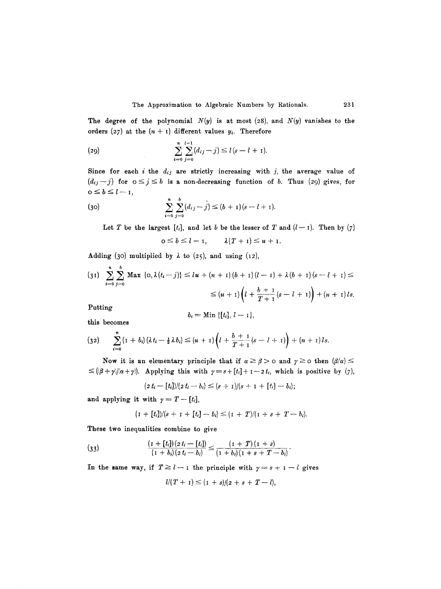The degree of the polynomial  $N(y)$  is at most (28), and  $N(y)$  vanishes to the orders (27) at the  $(n + 1)$  different values  $y_i$ . Therefore

(29) 
$$
\sum_{i=0}^{n} \sum_{j=0}^{l-1} (d_{ij} - j) \le l(s - l + 1).
$$

Since for each *i* the  $d_{ij}$  are strictly increasing with *j*, the average value of  $(d_{ij}-j)$  for  $0\leq j\leq b$  is a non-decreasing function of b. Thus (29) gives, for  $o \leq b \leq l-1$ ,

(30) 
$$
\sum_{i=0}^{n} \sum_{j=0}^{b} (d_{ij} - j) \le (b+1)(s-l+1).
$$

Let T be the largest  $[t_i]$ , and let b be the lesser of T and  $(l-1)$ . Then by  $(7)$ 

$$
0\leq b\leq l-1, \qquad \lambda(T+1)\leq u+1.
$$

Adding (30) multiplied by  $\lambda$  to (25), and using (12),

$$
(31) \sum_{i=0}^{n} \sum_{j=0}^{b} \text{Max} \{0, \lambda(t_i-j)\} \leq l\textbf{u} + (n+1)(b+1)(l-1) + \lambda(b+1)(s-l+1) \leq
$$
  

$$
\leq (u+1)\left(l + \frac{b+1}{T+1}(s-l+1)\right) + (n+1)ls.
$$

Putting

$$
b_i=\text{Min }\{[t_i], l-1\},
$$

this becomes

$$
(32) \qquad \sum_{i=0}^n (1+b_i)(\lambda t_i - \frac{1}{2}\lambda b_i) \leq (u+1)\left(l + \frac{b+1}{T+1}(s-l+1)\right) + (n+1)ls.
$$

Now it is an elementary principle that if  $\alpha \ge \beta > 0$  and  $\gamma \ge 0$  then  $(\beta/\alpha) \le$  $\leq$  ( $(\beta + \gamma)/(\alpha + \gamma)$ ). Applying this with  $\gamma = s + [t_i] + 1 - 2 t_i$ , which is positive by (7),

$$
(2 t_i - [t_i] ) / (2 t_i - b_i) \leq (s + 1) / (s + 1 + [t_i] - b_i);
$$

and applying it with  $\gamma = T-[t_i],$ 

$$
(I + [t_i])/(s + I + [t_i] - b_i) \leq (I + T)/(I + s + T - b_i).
$$

These two inequalities combine to give

(33) 
$$
\frac{(1 + [t_i])(z t_i - [t_i])}{(1 + b_i)(z t_i - b_i)} \leq \frac{(1 + T)(1 + s)}{(1 + b_i)(1 + s + T - b_i)}.
$$

In the same way, if  $T \geq l-1$  the principle with  $\gamma = s+1-l$  gives

$$
l/(T+1) \leq (1+s)/(2+s+T-l),
$$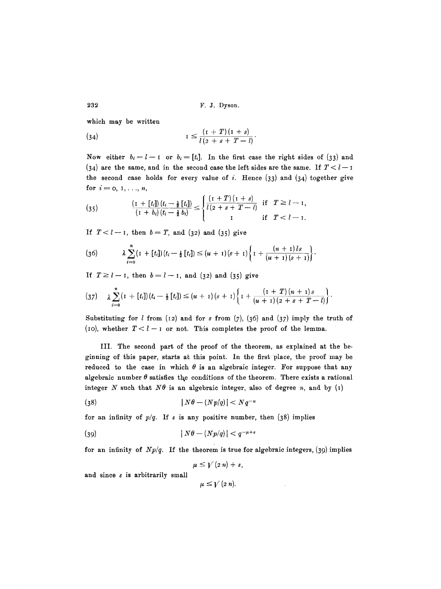*232* F.J. Dyson.

which may be written

(34) 
$$
I \leq \frac{(1+T)(1+s)}{l(2+s+T-l)}.
$$

Now either  $b_i = l - 1$  or  $b_i = [t_i]$ . In the first case the right sides of (33) and (34) are the same, and in the second case the left sides are the same. If  $T < l - 1$ the second case holds for every value of i. Hence  $(33)$  and  $(34)$  together give for  $i=0, 1, ..., n$ ,

(35) 
$$
\frac{(1 + [t_i])(t_i - \frac{1}{2}[t_i])}{(1 + b_i)(t_i - \frac{1}{2}b_i)} \leq \begin{cases} \frac{(1 + T)(1 + s)}{l(2 + s + T - l)} & \text{if } T \geq l - 1, \\ 1 & \text{if } T < l - 1. \end{cases}
$$

If  $T < l-1$ , then  $b = T$ , and (32) and (35) give

(36) 
$$
\lambda \sum_{i=0}^{n} (1 + [t_i])(t_i - \frac{1}{2} [t_i]) \leq (u + 1)(s + 1) \left\{ 1 + \frac{(n + 1)ls}{(u + 1)(s + 1)} \right\}.
$$

If  $T \ge l - i$ , then  $b = l - i$ , and (32) and (35) give

$$
(37) \qquad \lambda \sum_{i=0}^{n} (1 + [t_i])(t_i - \frac{1}{2} [t_i]) \leq (u + 1)(s + 1) \left\{ 1 + \frac{(1 + T)(n + 1)s}{(u + 1)(2 + s + T - l)} \right\}.
$$

Substituting for  $l$  from (12) and for s from (7), (36) and (37) imply the truth of (10), whether  $T < l - I$  or not. This completes the proof of the lemma.

III. The second part of the proof of the theorem, as explained at the beginning of this paper, starts at this point. In the first place, the proof may be reduced to the case in which  $\theta$  is an algebraic integer. For suppose that any algebraic number  $\theta$  satisfies the conditions of the theorem. There exists a rational integer N such that  $N\theta$  is an algebraic integer, also of degree n, and by (1)

$$
(38) \t\t\t\t |N\theta - (Np/q)| < Nq^{-u}
$$

for an infinity of  $p/q$ . If  $\epsilon$  is any positive number, then (38) implies

$$
(39) \t\t\t |N\theta - (Np/q)| < q^{-\mu + \epsilon}
$$

for an infinity of  $Np/q$ . If the theorem is true for algebraic integers, (39) implies

$$
\mu\leq\mathcal{V}\left( 2n\right) +\epsilon,
$$

and since  $\varepsilon$  is arbitrarily small

 $\mu \leq \gamma$  (2 *n*).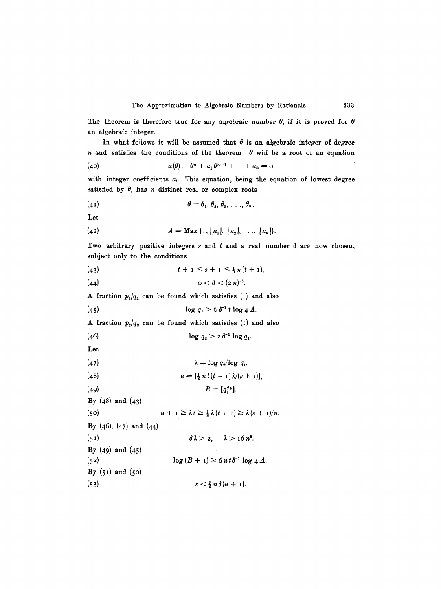The theorem is therefore true for any algebraic number  $\theta$ , if it is proved for  $\theta$ an algebraic integer.

In what follows it will be assumed that  $\theta$  is an algebraic integer of degree n and satisfies the conditions of the theorem;  $\theta$  will be a root of an equation

$$
(40) \t a(\theta) \equiv \theta^n + a_1 \theta^{n-1} + \cdots + a_n = 0
$$

with integer coefficients  $a_i$ . This equation, being the equation of lowest degree satisfied by  $\theta$ , has *n* distinct real or complex roots

$$
(\mathbf{4} \mathbf{1}) \qquad \qquad \theta = \theta_1, \, \theta_2, \, \theta_3, \, \ldots, \, \theta_n.
$$

Let

(42) 
$$
A = \mathbf{Max} \{1, |a_1|, |a_2|, \ldots, |a_n|\}.
$$

Two arbitrary positive integers  $s$  and  $t$  and a real number  $\delta$  are now chosen, subject only to the conditions

(43) 
$$
t + 1 \leq s + 1 \leq \frac{1}{2} n (t + 1),
$$

(44) 
$$
0 < \delta < (2 n)^{-3}
$$
.

A fraction  $p_1/q_1$  can be found which satisfies (1) and also

$$
\log q_1 > 6 \, \delta^{-2} \, t \, \log 4 \, A.
$$

A fraction  $p_2/q_2$  can be found which satisfies (1) and also

(46) 
$$
\log q_2 > 2 \, \delta^{-1} \log q_1.
$$

Let

| (47) | $\lambda = \log q_2 / \log q_1$ |
|------|---------------------------------|
|------|---------------------------------|

(48) 
$$
u = \left[\frac{1}{2} n t (t+1) \lambda / (s+1)\right],
$$

$$
(49) \t\t\t B=[q_1^{\delta u}].
$$

By  $(48)$  and  $(43)$ 

**(50)**  By  $(46)$ ,  $(47)$  and  $(44)$  $(51)$ By  $(49)$  and  $(45)$  $(52)$ By  $(51)$  and  $(50)$ **(53)**   $u + I \geq \lambda t \geq \frac{1}{2} \lambda (t + I) \geq \lambda (s + I)/n.$  $\delta\lambda > 2$ ,  $\lambda > 16 n^3$ .  $\log(B + I) \geq 6 u t \delta^{-1} \log 4 A.$  $s < \frac{1}{2} n \delta(u + 1)$ .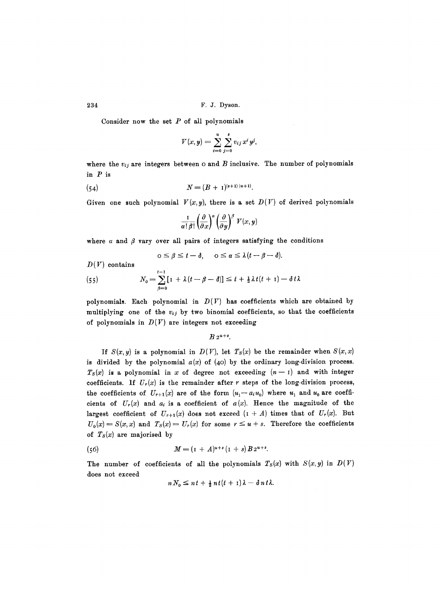Consider now the set  $P$  of all polynomials

$$
V(x, y) = \sum_{i=0}^{u} \sum_{j=0}^{s} v_{ij} x^{i} y^{j},
$$

where the  $v_{ij}$  are integers between  $\circ$  and  $B$  inclusive. The number of polynomials in P is

(54) 
$$
N = (B + 1)^{(s+1)(u+1)}.
$$

Given one such polynomial  $V(x, y)$ , there is a set  $D(V)$  of derived polynomials

$$
\frac{1}{\alpha \, | \, \beta \, |} \left(\frac{\partial}{\partial x}\right)^{\alpha} \left(\frac{\partial}{\partial y}\right)^{\beta} V(x, y)
$$

where  $\alpha$  and  $\beta$  vary over all pairs of integers satisfying the conditions

$$
0 \leq \beta \leq t - \delta, \quad 0 \leq \alpha \leq \lambda (t - \beta - \delta).
$$

 $D(V)$  contains

(55) 
$$
N_0 = \sum_{\beta=0}^{t-1} \left[ 1 + \lambda (t - \beta - \delta) \right] \leq t + \frac{1}{2} \lambda t (t+1) - \delta t \lambda
$$

polynomials. Each polynomial in  $D(V)$  has coefficients which are obtained by multiplying one of the  $v_{ij}$  by two binomial coefficients, so that the coefficients of polynomials in  $D(V)$  are integers not exceeding

 $B 2^{u+s}$ .

If  $S(x, y)$  is a polynomial in  $D(V)$ , let  $T_S(x)$  be the remainder when  $S(x, x)$ is divided by the polynomial  $a(x)$  of  $(40)$  by the ordinary long-division process.  $T<sub>S</sub>(x)$  is a polynomial in x of degree not exceeding  $(n-1)$  and with integer coefficients. If  $U_r(x)$  is the remainder after r steps of the long-division process, the coefficients of  $U_{r+1}(x)$  are of the form  $(u_1-a_iu_0)$  where  $u_1$  and  $u_0$  are coefficients of  $U_r(x)$  and  $a_i$  is a coefficient of  $a(x)$ . Hence the magnitude of the largest coefficient of  $U_{r+1}(x)$  does not exceed  $(1 + A)$  times that of  $U_r(x)$ . But  $U_0(x) = S(x, x)$  and  $T_S(x) = U_r(x)$  for some  $r \le u + s$ . Therefore the coefficients of  $T_s(x)$  are majorised by

(56) 
$$
M = (1 + A)^{u+s} (1 + s) B 2^{u+s}.
$$

The number of coefficients of all the polynomials  $T_S(x)$  with  $S(x, y)$  in  $D(V)$ does not exceed

$$
n N_0 \leq n t + \frac{1}{2} n t (t + 1) \lambda - \delta n t \lambda.
$$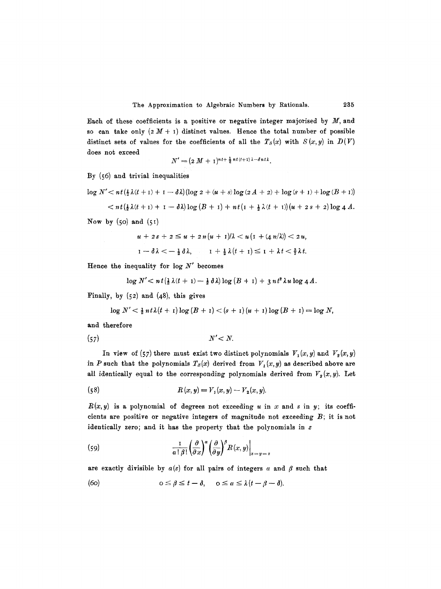Each of these coefficients is a positive or negative integer majorised by  $M$ , and so can take only  $(2 M + 1)$  distinct values. Hence the total number of possible distinct sets of values for the coefficients of all the  $T_S(x)$  with  $S(x, y)$  in  $D(V)$ does not exceed

$$
N' = (2 M + 1)^{nt + \frac{1}{2} nt (t+1) \lambda - \delta nt \lambda}.
$$

By (56) and trivial inequalities

$$
\log N' < nt \left(\frac{1}{2}\lambda(t+1) + 1 - \delta\lambda\right) \left(\log 2 + (u+s)\log(2A+2) + \log(s+1) + \log(B+1)\right)
$$

$$
\langle n t(\frac{1}{2}\lambda(t+1)+1-\delta\lambda)\log(B+1)+n t(1+\frac{1}{2}\lambda(t+1))(u+2s+2)\log 4A.
$$

Now by  $(50)$  and  $(51)$ 

$$
u + 2s + 2 \le u + 2n(u + 1)/\lambda < u(\mathbf{I} + (4n/\lambda)) < 2u,
$$
  

$$
\mathbf{I} - \delta\lambda < -\frac{1}{2}\delta\lambda, \qquad \mathbf{I} + \frac{1}{2}\lambda(t + 1) \le \mathbf{I} + \lambda t < \frac{3}{2}\lambda t.
$$

Hence the inequality for  $log N'$  becomes

 $\log N'$   $\lt n t({\frac{1}{2}\lambda(t + 1) - \frac{1}{2}\delta\lambda}) \log (B + 1) + 3nt^2\lambda u \log 4A$ .

Finally, by  $(52)$  and  $(48)$ , this gives

$$
\log N' < \frac{1}{2} n t \lambda (t + 1) \log (B + 1) < (s + 1) (u + 1) \log (B + 1) = \log N,
$$

and therefore

(57)  $N' < N$ .

In view of (57) there must exist two distinct polynomials  $V_1(x, y)$  and  $V_2(x, y)$ in P such that the polynomials  $T_S(x)$  derived from  $V_1(x, y)$  as described above are all identically equal to the corresponding polynomials derived from  $V_{p}(x, y)$ . Let

(58) 
$$
R(x, y) = V_1(x, y) - V_2(x, y).
$$

 $R(x, y)$  is a polynomial of degrees not exceeding u in x and s in y; its coefficients are positive or negative integers of magnitude not exceeding  $B$ ; it is not identically zero; and it has the property that the polynomials in  $z$ 

(59) 
$$
\frac{1}{\alpha \mid \beta \mid} \left( \frac{\partial}{\partial x} \right)^{\alpha} \left( \frac{\partial}{\partial y} \right)^{\beta} R(x, y) \Big|_{x = y = z}
$$

are exactly divisible by  $a(z)$  for all pairs of integers  $\alpha$  and  $\beta$  such that

(60)  $0 \leq \beta \leq t - \delta, \quad 0 \leq \alpha \leq \lambda (t - \beta - \delta).$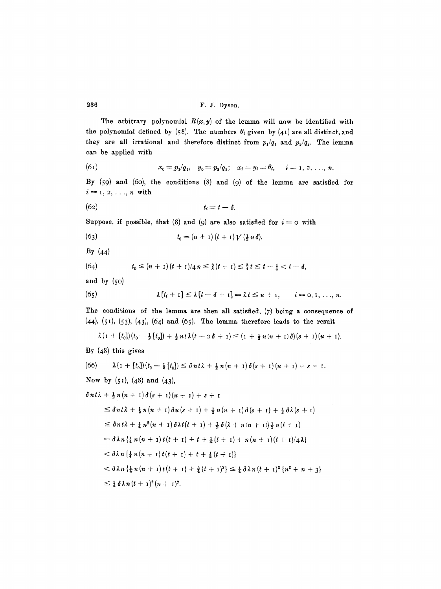The arbitrary polynomial  $R(x, y)$  of the lemma will now be identified with the polynomial defined by (58). The numbers  $\theta_i$  given by (41) are all distinct, and they are all irrational and therefore distinct from  $p_1/q_1$  and  $p_2/q_2$ . The lemma can be applied with

(61) 
$$
x_0 = p_1/q_1, \quad y_0 = p_2/q_2; \quad x_i = y_i = \theta_i, \quad i = 1, 2, \ldots, n.
$$

By (59) and (6o), the conditions (8) and (9) of the lemma are satisfied for  $i=1,2,\ldots,n$  with

$$
(62) \t t_i = t - \delta.
$$

Suppose, if possible, that (8) and (9) are also satisfied for  $i=0$  with

(63) 
$$
t_0 = (n+1)(t+1)V(\tfrac{1}{2}n\delta).
$$

By (44)

(64) 
$$
t_0 \leq (n+1)(t+1)/4 n \leq \frac{3}{8}(t+1) \leq \frac{3}{4}t \leq t-\frac{1}{4} < t-\delta,
$$

and by (5o)

(65) 
$$
\lambda[t_i+1] \leq \lambda[t-\delta+1] = \lambda t \leq u+1, \qquad i=0,1,\ldots,n.
$$

The conditions of the lemma are then all satisfied, (7) being a consequence of  $(44)$ ,  $(51)$ ,  $(53)$ ,  $(43)$ ,  $(64)$  and  $(65)$ . The lemma therefore leads to the result

$$
\lambda\left(1+[t_0]\right)(t_0-\tfrac{1}{2}\left[t_0\right])+\tfrac{1}{2}nt\lambda\left(t-2\delta+1\right)\leq \left(1+\tfrac{1}{2}n(n+1)\delta\right)(s+1)(u+1).
$$

By (48) this gives

$$
(66) \quad \lambda (1 + [t_0])(t_0 - \frac{1}{2}[t_0]) \leq \delta nt \lambda + \frac{1}{2}n(n+1)\delta(s+1)(u+1) + s + 1.
$$
\n
$$
\text{Now by (51), (48) and (43),}
$$
\n
$$
\delta nt \lambda + \frac{1}{2}n(n+1)\delta(s+1)(u+1) + s + 1
$$
\n
$$
\leq \delta nt \lambda + \frac{1}{2}n(n+1)\delta u(s+1) + \frac{1}{2}n(n+1)\delta(s+1) + \frac{1}{2}\delta\lambda(s+1)
$$
\n
$$
\leq \delta nt \lambda + \frac{1}{4}n^2(n+1)\delta\lambda t(t+1) + \frac{1}{2}\delta(\lambda + n(n+1))\frac{1}{2}n(t+1)
$$
\n
$$
= \delta\lambda n \{\frac{1}{4}n(n+1)t(t+1) + t + \frac{1}{4}(t+1) + n(n+1)(t+1)/4\lambda\}
$$
\n
$$
< \delta\lambda n \{\frac{1}{4}n(n+1)t(t+1) + \frac{1}{4}(t+1)^2\} \leq \frac{1}{4}\delta\lambda n(t+1)^2(n+1)^2.
$$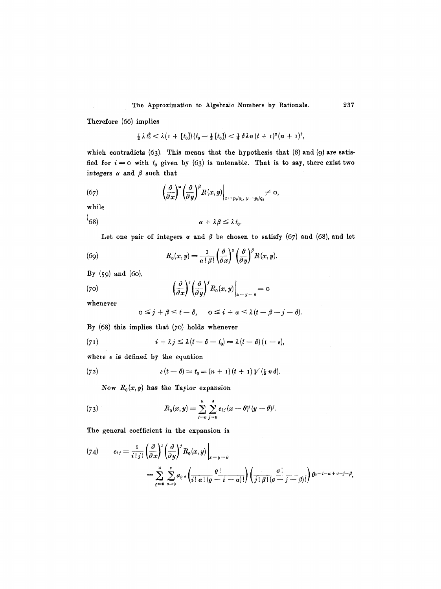Therefore (66) implies

$$
\frac{1}{2}\lambda t_0^2 < \lambda (I + [t_0])(t_0 - \frac{1}{2}[t_0]) < \frac{1}{4}\delta \lambda n (t + 1)^2(n + 1)^2,
$$

which contradicts  $(63)$ . This means that the hypothesis that  $(8)$  and  $(9)$  are satisfied for  $i = 0$  with  $t_0$  given by (63) is untenable. That is to say, there exist two integers  $\alpha$  and  $\beta$  such that

(67) 
$$
\left.\left(\frac{\partial}{\partial x}\right)^{\alpha}\left(\frac{\partial}{\partial y}\right)^{\beta}R(x,y)\right|_{x=p_1/q_1, y=p_2/q_2}\neq 0,
$$

while  $\sqrt{ }$ 

$$
\alpha + \lambda \beta \leq \lambda t_0.
$$

Let one pair of integers  $\alpha$  and  $\beta$  be chosen to satisfy (67) and (68), and let

(69) 
$$
R_0(x, y) = \frac{1}{\alpha! \beta!} \left(\frac{\partial}{\partial x}\right)^{\alpha} \left(\frac{\partial}{\partial y}\right)^{\beta} R(x, y).
$$

By (59) and (6o),

(70) 
$$
\left(\frac{\partial}{\partial x}\right)^i \left(\frac{\partial}{\partial y}\right)^j R_o(x, y)\Big|_{x=y=\theta} = 0
$$

whenever

$$
0 \leq j + \beta \leq t - \delta, \quad 0 \leq i + \alpha \leq \lambda (t - \beta - j - \delta).
$$

By  $(68)$  this implies that  $(70)$  holds whenever

(71) 
$$
i + \lambda j \leq \lambda (t - \delta - t_0) = \lambda (t - \delta) (1 - \epsilon),
$$

where  $\varepsilon$  is defined by the equation

(72) 
$$
\epsilon(t-\delta) = t_0 = (n+1)(t+1)V(\frac{1}{2}n\delta).
$$

Now  $R_0(x, y)$  has the Taylor expansion

(73) 
$$
R_0(x,y) = \sum_{i=0}^{u} \sum_{j=0}^{s} c_{ij} (x - \theta)^i (y - \theta)^j.
$$

The general coefficient in the expansion is

$$
(74) \qquad c_{ij} = \frac{1}{i! \, j!} \left( \frac{\partial}{\partial x} \right)^i \left( \frac{\partial}{\partial y} \right)^j R_0(x, y) \Big|_{x = y = \theta}
$$
\n
$$
= \sum_{\varrho=0}^u \sum_{\sigma=0}^s a_{\varrho \sigma} \left( \frac{\varrho!}{i! \, \alpha! \, (\varrho - i - \alpha)!} \right) \left( \frac{\sigma!}{j! \, \beta! \, (\sigma - j - \beta)!} \right) \theta^{\varrho - i - \alpha + \sigma - j - \beta},
$$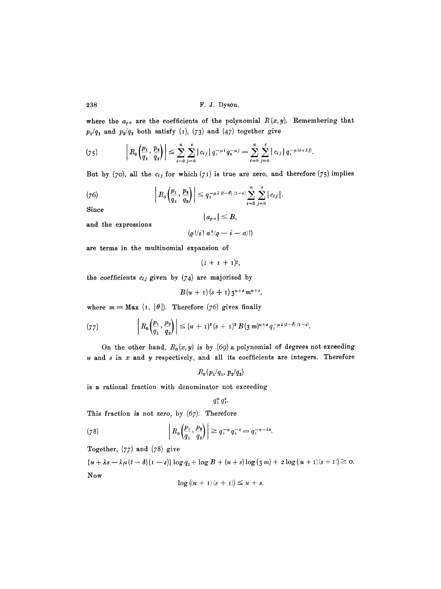where the  $a_{\varrho\sigma}$  are the coefficients of the polynomial  $R(x,y)$ . Remembering that  $p_1/q_1$  and  $p_2/q_2$  both satisfy (1), (73) and (47) together give

(75) 
$$
\left| R_0\left(\frac{p_1}{q_1}, \frac{p_2}{q_2}\right) \right| \leq \sum_{i=0}^u \sum_{j=0}^s |c_{ij}| q_1^{-\mu i} q_2^{-\mu j} = \sum_{i=0}^u \sum_{j=0}^s |c_{ij}| q_1^{-\mu(i+\lambda j)}.
$$

But by  $(70)$ , all the  $c_{ij}$  for which  $(71)$  is true are zero, and therefore  $(75)$  implies

(76) 
$$
\left| R_0\left(\frac{p_1}{q_1}, \frac{p_2}{q_2}\right) \right| \leq q_1^{-\mu \lambda (t-\delta) (1-\epsilon)} \sum_{i=0}^u \sum_{j=0}^s |c_{ij}|.
$$

Since

and the expressions

$$
|a_{\varrho\,\sigma}|\leq B,
$$

 $(\varrho\! | /i! \alpha! (\varrho - i - \alpha)!)$ 

are terms in the multinomial expansion of

 $(1 + 1 + 1)\ell,$ 

the coefficients  $c_{ij}$  given by  $(74)$  are majorised by

$$
B(u + 1)(s + 1) 3^{u+s} m^{u+s},
$$

where  $m = \text{Max } (I, |\theta|)$ . Therefore (76) gives finally

(77) 
$$
\left| R_0\left(\frac{p_1}{q_1}, \frac{p_2}{q_2}\right) \right| \leq (u + 1)^2 (s + 1)^2 B(3 m)^{u + s} q_1^{-\mu \lambda (t - \delta) (1 - \epsilon)}.
$$

On the other hand,  $R_0(x, y)$  is by (69) a polynomial of degrees not exceeding  $u$  and  $s$  in  $x$  and  $y$  respectively, and all its coefficients are integers. Therefore

 $R_0(p_1/q_1, p_2/q_2)$ 

is a rational fraction with denominator not exceeding

 $q_1^u q_2^s$ .

This fraction is not zero, by (67). Therefore

(78) 
$$
\left| R_0 \left( \frac{p_1}{q_1}, \frac{p_2}{q_2} \right) \right| \geq q_1^{-u} q_2^{-s} = q_1^{-u - \lambda s}.
$$

Together,  $(77)$  and  $(78)$  give

 ${u + \lambda s - \lambda \mu (t - \delta)(1 - \varepsilon)} log q_1 + log B + (u + s) log (3 m) + 2 log ((u + 1)(s + 1)) \ge 0.$ Now

$$
\log ((u+1)(s+1)) \le u+s.
$$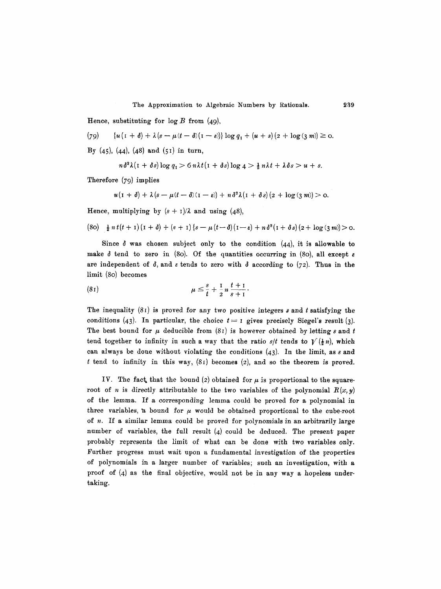The Approximation to Algebraic Numbers by Rationals. 239

Hence, substituting for  $\log B$  from (49),

$$
(79) \qquad \{u\left(1+\delta\right)+\lambda\left(s-\mu\left(t-\delta\right)\left(1-\epsilon\right)\right)\}\log q_1+\left(u+s\right)\left(2+\log\left(\frac{3}{4}m\right)\right)\geq 0.
$$

By  $(45)$ ,  $(44)$ ,  $(48)$  and  $(51)$  in turn,

$$
n\delta^2\lambda(\mathbf{I}+\delta s)\log q_1 > 6\,n\lambda t(\mathbf{I}+\delta s)\log q > \tfrac{1}{2}\,n\lambda t + \lambda\delta s > u + s.
$$

Therefore (79) implies

$$
u(1+\delta)+\lambda(s-\mu(t-\delta)(1-\varepsilon))+n\delta^2\lambda(1+\delta s)(2+\log(3 m))>0.
$$

Hence, multiplying by  $(s + 1)/\lambda$  and using (48),

$$
(80) \frac{1}{2} n t (t + 1) (1 + \delta) + (s + 1) {s - \mu (t - \delta) (1 - \epsilon) + n \delta^2 (1 + \delta s) (2 + \log (3 m))} > 0.
$$

Since  $\delta$  was chosen subject only to the condition (44), it is allowable to make  $\delta$  tend to zero in (80). Of the quantities occurring in (80), all except  $\epsilon$ are independent of  $\delta$ , and  $\epsilon$  tends to zero with  $\delta$  according to (72). Thus in the limit (8o) becomes

(81) 
$$
\mu \leq \frac{s}{t} + \frac{1}{2} n \frac{t+1}{s+1}.
$$

The inequality  $(81)$  is proved for any two positive integers s and t satisfying the conditions (43). In particular, the choice  $t=1$  gives precisely Siegel's result (3). The best bound for  $\mu$  deducible from (81) is however obtained by letting s and t tend together to infinity in such a way that the ratio *s*/*t* tends to  $V(\frac{1}{2}n)$ , which can always be done without violating the conditions  $(43)$ . In the limit, as s and t tend to infinity in this way,  $(81)$  becomes (2), and so the theorem is proved.

IV. The fact, that the bound (2) obtained for  $\mu$  is proportional to the squareroot of *n* is directly attributable to the two variables of the polynomial  $R(x,y)$ of the lemma. If a corresponding lemma could be proved for a polynomial in three variables, a bound for  $\mu$  would be obtained proportional to the cube-root of n. If a similar lemma could be proved for polynomials in an arbitrarily large number of variables, the full result  $(4)$  could be deduced. The present paper probably represents the limit of what can be done with two variables only. Further progress must wait upon a fundamental investigation of the properties of polynomials in a larger number of variables; such an investigation, with a proof of  $(4)$  as the final objective, would not be in any way a hopeless undertaking.